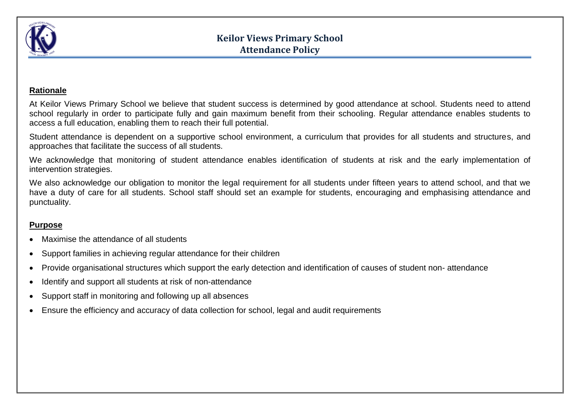

#### **Rationale**

At Keilor Views Primary School we believe that student success is determined by good attendance at school. Students need to attend school regularly in order to participate fully and gain maximum benefit from their schooling. Regular attendance enables students to access a full education, enabling them to reach their full potential.

Student attendance is dependent on a supportive school environment, a curriculum that provides for all students and structures, and approaches that facilitate the success of all students.

We acknowledge that monitoring of student attendance enables identification of students at risk and the early implementation of intervention strategies.

We also acknowledge our obligation to monitor the legal requirement for all students under fifteen years to attend school, and that we have a duty of care for all students. School staff should set an example for students, encouraging and emphasising attendance and punctuality.

#### **Purpose**

- Maximise the attendance of all students
- Support families in achieving regular attendance for their children
- Provide organisational structures which support the early detection and identification of causes of student non- attendance
- Identify and support all students at risk of non-attendance
- Support staff in monitoring and following up all absences
- Ensure the efficiency and accuracy of data collection for school, legal and audit requirements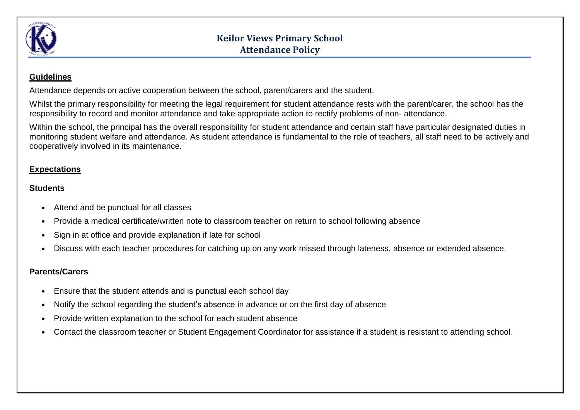

# **Keilor Views Primary School Attendance Policy**

### **Guidelines**

Attendance depends on active cooperation between the school, parent/carers and the student.

Whilst the primary responsibility for meeting the legal requirement for student attendance rests with the parent/carer, the school has the responsibility to record and monitor attendance and take appropriate action to rectify problems of non- attendance.

Within the school, the principal has the overall responsibility for student attendance and certain staff have particular designated duties in monitoring student welfare and attendance. As student attendance is fundamental to the role of teachers, all staff need to be actively and cooperatively involved in its maintenance.

### **Expectations**

#### **Students**

- Attend and be punctual for all classes
- Provide a medical certificate/written note to classroom teacher on return to school following absence
- Sign in at office and provide explanation if late for school
- Discuss with each teacher procedures for catching up on any work missed through lateness, absence or extended absence.

### **Parents/Carers**

- Ensure that the student attends and is punctual each school day
- Notify the school regarding the student's absence in advance or on the first day of absence
- Provide written explanation to the school for each student absence
- Contact the classroom teacher or Student Engagement Coordinator for assistance if a student is resistant to attending school.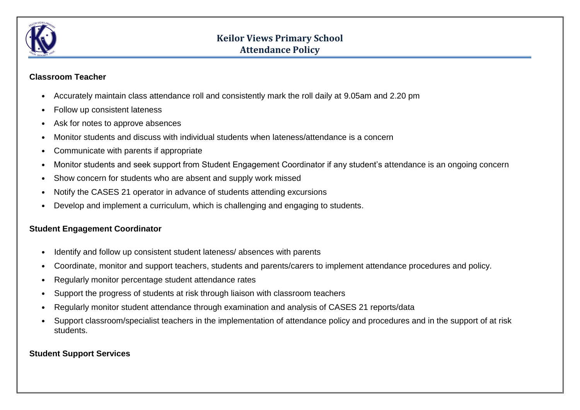

# **Keilor Views Primary School Attendance Policy**

#### **Classroom Teacher**

- Accurately maintain class attendance roll and consistently mark the roll daily at 9.05am and 2.20 pm
- Follow up consistent lateness
- Ask for notes to approve absences
- Monitor students and discuss with individual students when lateness/attendance is a concern
- Communicate with parents if appropriate
- Monitor students and seek support from Student Engagement Coordinator if any student's attendance is an ongoing concern
- Show concern for students who are absent and supply work missed
- Notify the CASES 21 operator in advance of students attending excursions
- Develop and implement a curriculum, which is challenging and engaging to students.

### **Student Engagement Coordinator**

- Identify and follow up consistent student lateness/ absences with parents
- Coordinate, monitor and support teachers, students and parents/carers to implement attendance procedures and policy.
- Regularly monitor percentage student attendance rates
- Support the progress of students at risk through liaison with classroom teachers
- Regularly monitor student attendance through examination and analysis of CASES 21 reports/data
- Support classroom/specialist teachers in the implementation of attendance policy and procedures and in the support of at risk students.

#### **Student Support Services**